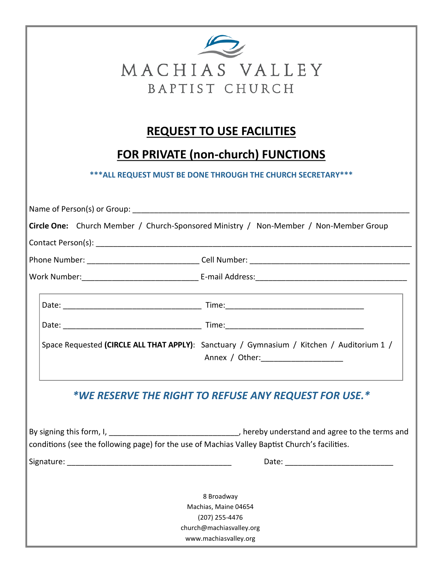| $\mathcal{L}$  |  |  |  |  |  |  |
|----------------|--|--|--|--|--|--|
| MACHIAS VALLEY |  |  |  |  |  |  |
| BAPTIST CHURCH |  |  |  |  |  |  |

## **REQUEST TO USE FACILITIES**

## **FOR PRIVATE (non-church) FUNCTIONS**

**\*\*\*ALL REQUEST MUST BE DONE THROUGH THE CHURCH SECRETARY\*\*\***

| Circle One: Church Member / Church-Sponsored Ministry / Non-Member / Non-Member Group          |                                                                                                                                     |  |  |  |
|------------------------------------------------------------------------------------------------|-------------------------------------------------------------------------------------------------------------------------------------|--|--|--|
|                                                                                                |                                                                                                                                     |  |  |  |
|                                                                                                |                                                                                                                                     |  |  |  |
|                                                                                                |                                                                                                                                     |  |  |  |
|                                                                                                |                                                                                                                                     |  |  |  |
|                                                                                                |                                                                                                                                     |  |  |  |
|                                                                                                | Space Requested (CIRCLE ALL THAT APPLY): Sanctuary / Gymnasium / Kitchen / Auditorium 1 /<br>Annex / Other: _______________________ |  |  |  |
| *WE RESERVE THE RIGHT TO REFUSE ANY REQUEST FOR USE.*                                          |                                                                                                                                     |  |  |  |
| conditions (see the following page) for the use of Machias Valley Baptist Church's facilities. |                                                                                                                                     |  |  |  |
|                                                                                                |                                                                                                                                     |  |  |  |
| 8 Broadway<br>Machias, Maine 04654                                                             |                                                                                                                                     |  |  |  |
| (207) 255-4476                                                                                 |                                                                                                                                     |  |  |  |
| church@machiasvalley.org<br>www.machiasvalley.org                                              |                                                                                                                                     |  |  |  |
|                                                                                                |                                                                                                                                     |  |  |  |